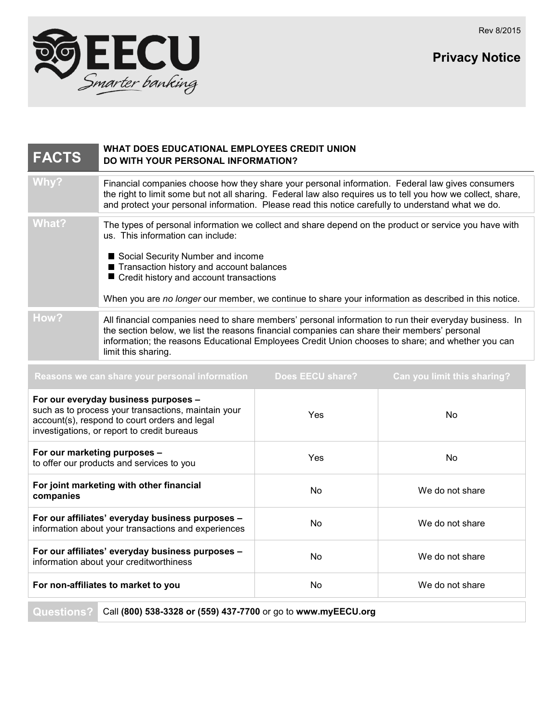Rev 8/2015

**Privacy Notice**



| <b>FACTS</b>                                                                                                                                                                                | WHAT DOES EDUCATIONAL EMPLOYEES CREDIT UNION<br>DO WITH YOUR PERSONAL INFORMATION?                                                                                                                                                                                                                                                                                              |                         |                             |
|---------------------------------------------------------------------------------------------------------------------------------------------------------------------------------------------|---------------------------------------------------------------------------------------------------------------------------------------------------------------------------------------------------------------------------------------------------------------------------------------------------------------------------------------------------------------------------------|-------------------------|-----------------------------|
| Why?                                                                                                                                                                                        | Financial companies choose how they share your personal information. Federal law gives consumers<br>the right to limit some but not all sharing. Federal law also requires us to tell you how we collect, share,<br>and protect your personal information. Please read this notice carefully to understand what we do.                                                          |                         |                             |
| <b>What?</b>                                                                                                                                                                                | The types of personal information we collect and share depend on the product or service you have with<br>us. This information can include:<br>Social Security Number and income<br>Transaction history and account balances<br>Credit history and account transactions<br>When you are no longer our member, we continue to share your information as described in this notice. |                         |                             |
| How?                                                                                                                                                                                        | All financial companies need to share members' personal information to run their everyday business. In<br>the section below, we list the reasons financial companies can share their members' personal<br>information; the reasons Educational Employees Credit Union chooses to share; and whether you can<br>limit this sharing.                                              |                         |                             |
|                                                                                                                                                                                             | Reasons we can share your personal information                                                                                                                                                                                                                                                                                                                                  | <b>Does EECU share?</b> | Can you limit this sharing? |
| For our everyday business purposes -<br>such as to process your transactions, maintain your<br>account(s), respond to court orders and legal<br>investigations, or report to credit bureaus |                                                                                                                                                                                                                                                                                                                                                                                 | Yes                     | No                          |
| For our marketing purposes -<br>to offer our products and services to you                                                                                                                   |                                                                                                                                                                                                                                                                                                                                                                                 | Yes                     | No                          |
| For joint marketing with other financial<br>companies                                                                                                                                       |                                                                                                                                                                                                                                                                                                                                                                                 | No                      | We do not share             |
| For our affiliates' everyday business purposes -<br>information about your transactions and experiences                                                                                     |                                                                                                                                                                                                                                                                                                                                                                                 | No                      | We do not share             |
| For our affiliates' everyday business purposes -<br>information about your creditworthiness                                                                                                 |                                                                                                                                                                                                                                                                                                                                                                                 | No                      | We do not share             |
| For non-affiliates to market to you                                                                                                                                                         |                                                                                                                                                                                                                                                                                                                                                                                 | No                      | We do not share             |
|                                                                                                                                                                                             |                                                                                                                                                                                                                                                                                                                                                                                 |                         |                             |

**Questions?** Call **(800) 538-3328 or (559) 437-7700** or go to **www.myEECU.org**